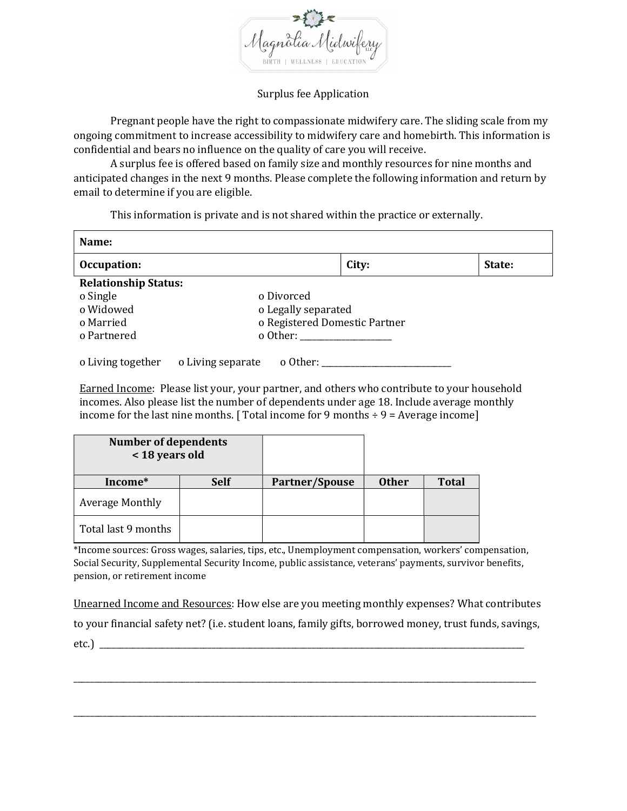

## Surplus fee Application

Pregnant people have the right to compassionate midwifery care. The sliding scale from my ongoing commitment to increase accessibility to midwifery care and homebirth. This information is confidential and bears no influence on the quality of care you will receive.

A surplus fee is offered based on family size and monthly resources for nine months and anticipated changes in the next 9 months. Please complete the following information and return by email to determine if you are eligible.

This information is private and is not shared within the practice or externally.

| Name:                                  |                               |       |  |        |  |  |
|----------------------------------------|-------------------------------|-------|--|--------|--|--|
| Occupation:                            |                               | City: |  | State: |  |  |
| <b>Relationship Status:</b>            |                               |       |  |        |  |  |
| o Single                               | o Divorced                    |       |  |        |  |  |
| o Widowed                              | o Legally separated           |       |  |        |  |  |
| o Married                              | o Registered Domestic Partner |       |  |        |  |  |
| o Partnered                            | o Other:                      |       |  |        |  |  |
|                                        |                               |       |  |        |  |  |
| o Living together<br>o Living separate | o Other: ______               |       |  |        |  |  |

Earned Income: Please list your, your partner, and others who contribute to your household incomes. Also please list the number of dependents under age 18. Include average monthly income for the last nine months. [Total income for 9 months  $\div$  9 = Average income]

| <b>Number of dependents</b><br>< 18 years old |             |                |              |              |
|-----------------------------------------------|-------------|----------------|--------------|--------------|
| Income*                                       | <b>Self</b> | Partner/Spouse | <b>Other</b> | <b>Total</b> |
| <b>Average Monthly</b>                        |             |                |              |              |
| Total last 9 months                           |             |                |              |              |

\*Income sources: Gross wages, salaries, tips, etc., Unemployment compensation, workers' compensation, Social Security, Supplemental Security Income, public assistance, veterans' payments, survivor benefits, pension, or retirement income

Unearned Income and Resources: How else are you meeting monthly expenses? What contributes

to your financial safety net? (i.e. student loans, family gifts, borrowed money, trust funds, savings,

\_\_\_\_\_\_\_\_\_\_\_\_\_\_\_\_\_\_\_\_\_\_\_\_\_\_\_\_\_\_\_\_\_\_\_\_\_\_\_\_\_\_\_\_\_\_\_\_\_\_\_\_\_\_\_\_\_\_\_\_\_\_\_\_\_\_\_\_\_\_\_\_\_\_\_\_\_\_\_\_\_\_\_\_\_\_\_\_\_\_\_\_\_\_\_\_\_\_\_\_\_\_\_\_\_\_\_\_\_\_\_

\_\_\_\_\_\_\_\_\_\_\_\_\_\_\_\_\_\_\_\_\_\_\_\_\_\_\_\_\_\_\_\_\_\_\_\_\_\_\_\_\_\_\_\_\_\_\_\_\_\_\_\_\_\_\_\_\_\_\_\_\_\_\_\_\_\_\_\_\_\_\_\_\_\_\_\_\_\_\_\_\_\_\_\_\_\_\_\_\_\_\_\_\_\_\_\_\_\_\_\_\_\_\_\_\_\_\_\_\_\_\_

etc.) \_\_\_\_\_\_\_\_\_\_\_\_\_\_\_\_\_\_\_\_\_\_\_\_\_\_\_\_\_\_\_\_\_\_\_\_\_\_\_\_\_\_\_\_\_\_\_\_\_\_\_\_\_\_\_\_\_\_\_\_\_\_\_\_\_\_\_\_\_\_\_\_\_\_\_\_\_\_\_\_\_\_\_\_\_\_\_\_\_\_\_\_\_\_\_\_\_\_\_\_\_\_